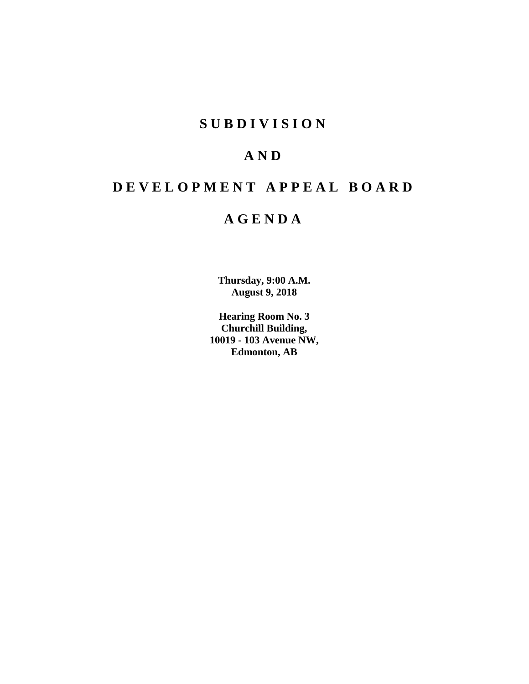## **SUBDIVISION**

# **AND**

# **DEVELOPMENT APPEAL BOARD**

## **AGENDA**

**Thursday, 9:00 A.M. August 9, 2018**

**Hearing Room No. 3 Churchill Building, 10019 - 103 Avenue NW, Edmonton, AB**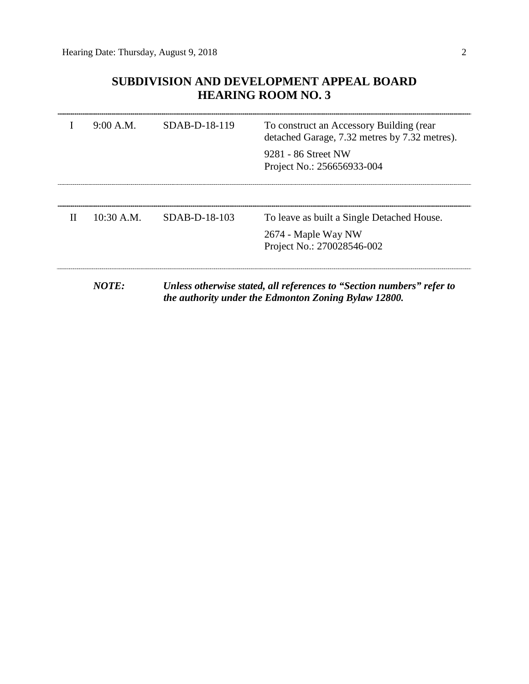## **SUBDIVISION AND DEVELOPMENT APPEAL BOARD HEARING ROOM NO. 3**

|   | 9:00 A.M.    | $SDAB-D-18-119$ | To construct an Accessory Building (rear<br>detached Garage, 7.32 metres by 7.32 metres).                                     |
|---|--------------|-----------------|-------------------------------------------------------------------------------------------------------------------------------|
|   |              |                 | 9281 - 86 Street NW<br>Project No.: 256656933-004                                                                             |
|   |              |                 |                                                                                                                               |
| Н | $10:30$ A.M. | SDAB-D-18-103   | To leave as built a Single Detached House.                                                                                    |
|   |              |                 | 2674 - Maple Way NW<br>Project No.: 270028546-002                                                                             |
|   | NOTE:        |                 | Unless otherwise stated, all references to "Section numbers" refer to<br>the authority under the Edmonton Zoning Bylaw 12800. |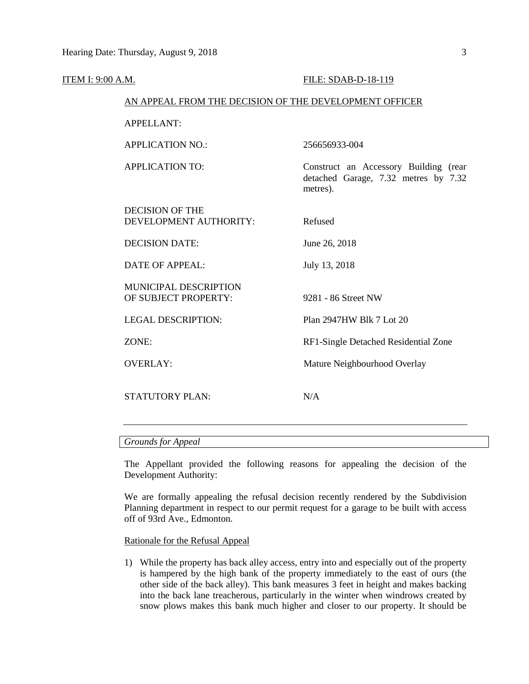| ITEM I: 9:00 A.M. |                                                        | FILE: SDAB-D-18-119                                                                       |  |  |  |  |
|-------------------|--------------------------------------------------------|-------------------------------------------------------------------------------------------|--|--|--|--|
|                   | AN APPEAL FROM THE DECISION OF THE DEVELOPMENT OFFICER |                                                                                           |  |  |  |  |
|                   | <b>APPELLANT:</b>                                      |                                                                                           |  |  |  |  |
|                   | <b>APPLICATION NO.:</b>                                | 256656933-004                                                                             |  |  |  |  |
|                   | <b>APPLICATION TO:</b>                                 | Construct an Accessory Building (rear<br>detached Garage, 7.32 metres by 7.32<br>metres). |  |  |  |  |
|                   | <b>DECISION OF THE</b><br>DEVELOPMENT AUTHORITY:       | Refused                                                                                   |  |  |  |  |
|                   | <b>DECISION DATE:</b>                                  | June 26, 2018                                                                             |  |  |  |  |
|                   | <b>DATE OF APPEAL:</b>                                 | July 13, 2018                                                                             |  |  |  |  |
|                   | MUNICIPAL DESCRIPTION<br>OF SUBJECT PROPERTY:          | 9281 - 86 Street NW                                                                       |  |  |  |  |
|                   | <b>LEGAL DESCRIPTION:</b>                              | Plan 2947HW Blk 7 Lot 20                                                                  |  |  |  |  |
|                   | ZONE:                                                  | RF1-Single Detached Residential Zone                                                      |  |  |  |  |
|                   | <b>OVERLAY:</b>                                        | Mature Neighbourhood Overlay                                                              |  |  |  |  |
|                   | <b>STATUTORY PLAN:</b>                                 | N/A                                                                                       |  |  |  |  |
|                   |                                                        |                                                                                           |  |  |  |  |

## *Grounds for Appeal*

The Appellant provided the following reasons for appealing the decision of the Development Authority:

We are formally appealing the refusal decision recently rendered by the Subdivision Planning department in respect to our permit request for a garage to be built with access off of 93rd Ave., Edmonton.

#### Rationale for the Refusal Appeal

1) While the property has back alley access, entry into and especially out of the property is hampered by the high bank of the property immediately to the east of ours (the other side of the back alley). This bank measures 3 feet in height and makes backing into the back lane treacherous, particularly in the winter when windrows created by snow plows makes this bank much higher and closer to our property. It should be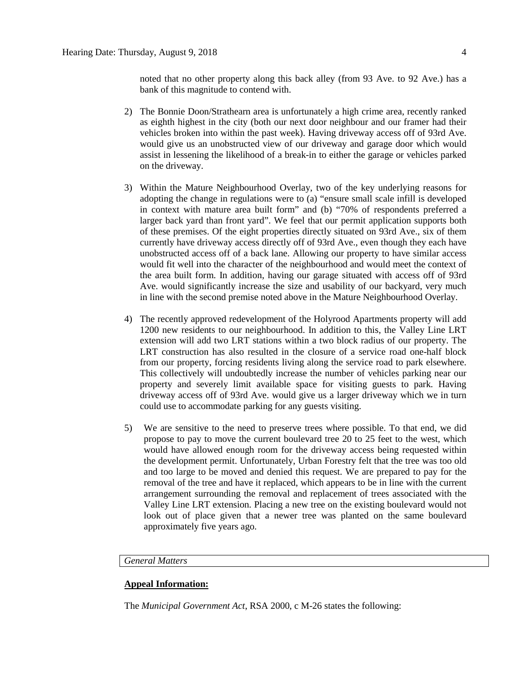noted that no other property along this back alley (from 93 Ave. to 92 Ave.) has a bank of this magnitude to contend with.

- 2) The Bonnie Doon/Strathearn area is unfortunately a high crime area, recently ranked as eighth highest in the city (both our next door neighbour and our framer had their vehicles broken into within the past week). Having driveway access off of 93rd Ave. would give us an unobstructed view of our driveway and garage door which would assist in lessening the likelihood of a break-in to either the garage or vehicles parked on the driveway.
- 3) Within the Mature Neighbourhood Overlay, two of the key underlying reasons for adopting the change in regulations were to (a) "ensure small scale infill is developed in context with mature area built form" and (b) "70% of respondents preferred a larger back yard than front yard". We feel that our permit application supports both of these premises. Of the eight properties directly situated on 93rd Ave., six of them currently have driveway access directly off of 93rd Ave., even though they each have unobstructed access off of a back lane. Allowing our property to have similar access would fit well into the character of the neighbourhood and would meet the context of the area built form. In addition, having our garage situated with access off of 93rd Ave. would significantly increase the size and usability of our backyard, very much in line with the second premise noted above in the Mature Neighbourhood Overlay.
- 4) The recently approved redevelopment of the Holyrood Apartments property will add 1200 new residents to our neighbourhood. In addition to this, the Valley Line LRT extension will add two LRT stations within a two block radius of our property. The LRT construction has also resulted in the closure of a service road one-half block from our property, forcing residents living along the service road to park elsewhere. This collectively will undoubtedly increase the number of vehicles parking near our property and severely limit available space for visiting guests to park. Having driveway access off of 93rd Ave. would give us a larger driveway which we in turn could use to accommodate parking for any guests visiting.
- 5) We are sensitive to the need to preserve trees where possible. To that end, we did propose to pay to move the current boulevard tree 20 to 25 feet to the west, which would have allowed enough room for the driveway access being requested within the development permit. Unfortunately, Urban Forestry felt that the tree was too old and too large to be moved and denied this request. We are prepared to pay for the removal of the tree and have it replaced, which appears to be in line with the current arrangement surrounding the removal and replacement of trees associated with the Valley Line LRT extension. Placing a new tree on the existing boulevard would not look out of place given that a newer tree was planted on the same boulevard approximately five years ago.

## *General Matters*

## **Appeal Information:**

The *Municipal Government Act*, RSA 2000, c M-26 states the following: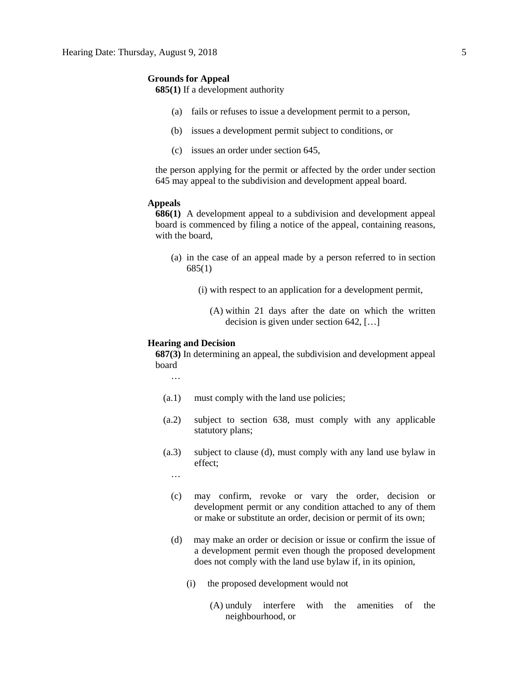#### **Grounds for Appeal**

**685(1)** If a development authority

- (a) fails or refuses to issue a development permit to a person,
- (b) issues a development permit subject to conditions, or
- (c) issues an order under section 645,

the person applying for the permit or affected by the order under section 645 may appeal to the subdivision and development appeal board.

#### **Appeals**

**686(1)** A development appeal to a subdivision and development appeal board is commenced by filing a notice of the appeal, containing reasons, with the board

- (a) in the case of an appeal made by a person referred to in section 685(1)
	- (i) with respect to an application for a development permit,
		- (A) within 21 days after the date on which the written decision is given under section 642, […]

#### **Hearing and Decision**

**687(3)** In determining an appeal, the subdivision and development appeal board

…

- (a.1) must comply with the land use policies;
- (a.2) subject to section 638, must comply with any applicable statutory plans;
- (a.3) subject to clause (d), must comply with any land use bylaw in effect;

…

- (c) may confirm, revoke or vary the order, decision or development permit or any condition attached to any of them or make or substitute an order, decision or permit of its own;
- (d) may make an order or decision or issue or confirm the issue of a development permit even though the proposed development does not comply with the land use bylaw if, in its opinion,
	- (i) the proposed development would not
		- (A) unduly interfere with the amenities of the neighbourhood, or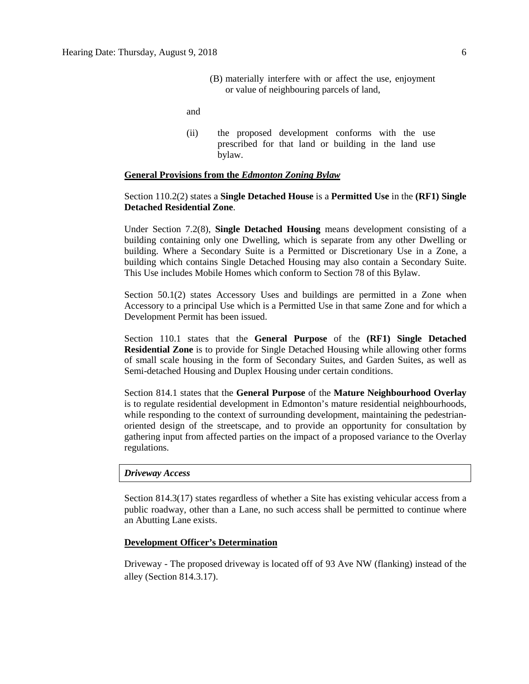(B) materially interfere with or affect the use, enjoyment or value of neighbouring parcels of land,

and

(ii) the proposed development conforms with the use prescribed for that land or building in the land use bylaw.

#### **General Provisions from the** *Edmonton Zoning Bylaw*

## Section 110.2(2) states a **Single Detached House** is a **Permitted Use** in the **(RF1) Single Detached Residential Zone**.

Under Section 7.2(8), **Single Detached Housing** means development consisting of a building containing only one Dwelling, which is separate from any other Dwelling or building. Where a Secondary Suite is a Permitted or Discretionary Use in a Zone, a building which contains Single Detached Housing may also contain a Secondary Suite. This Use includes Mobile Homes which conform to Section 78 of this Bylaw.

Section 50.1(2) states Accessory Uses and buildings are permitted in a Zone when Accessory to a principal Use which is a Permitted Use in that same Zone and for which a Development Permit has been issued.

Section 110.1 states that the **General Purpose** of the **(RF1) Single Detached Residential Zone** is to provide for Single Detached Housing while allowing other forms of small scale housing in the form of Secondary Suites, and Garden Suites, as well as Semi-detached Housing and Duplex Housing under certain conditions.

Section 814.1 states that the **General Purpose** of the **Mature Neighbourhood Overlay**  is to regulate residential development in Edmonton's mature residential neighbourhoods, while responding to the context of surrounding development, maintaining the pedestrianoriented design of the streetscape, and to provide an opportunity for consultation by gathering input from affected parties on the impact of a proposed variance to the Overlay regulations.

#### *Driveway Access*

Section 814.3(17) states regardless of whether a Site has existing vehicular access from a public roadway, other than a Lane, no such access shall be permitted to continue where an Abutting Lane exists.

#### **Development Officer's Determination**

Driveway - The proposed driveway is located off of 93 Ave NW (flanking) instead of the alley (Section 814.3.17).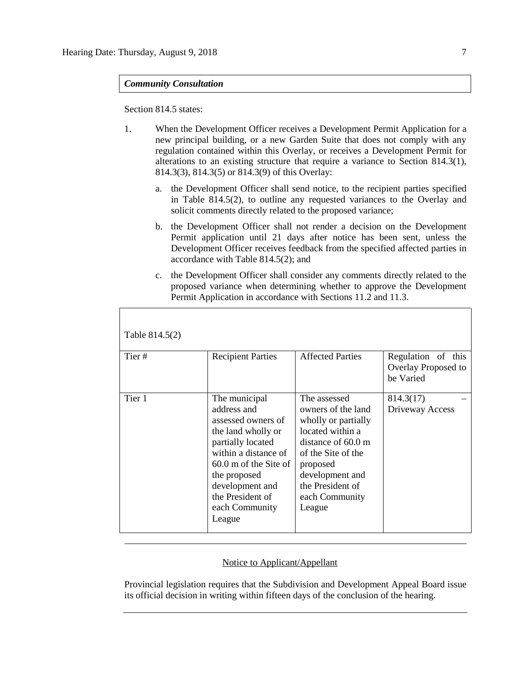*Community Consultation*

Section 814.5 states:

- 1. When the Development Officer receives a Development Permit Application for a new principal building, or a new Garden Suite that does not comply with any regulation contained within this Overlay, or receives a Development Permit for alterations to an existing structure that require a variance to Section 814.3(1), 814.3(3), 814.3(5) or 814.3(9) of this Overlay:
	- a. the Development Officer shall send notice, to the recipient parties specified in Table 814.5(2), to outline any requested variances to the Overlay and solicit comments directly related to the proposed variance;
	- b. the Development Officer shall not render a decision on the Development Permit application until 21 days after notice has been sent, unless the Development Officer receives feedback from the specified affected parties in accordance with Table 814.5(2); and
	- c. the Development Officer shall consider any comments directly related to the proposed variance when determining whether to approve the Development Permit Application in accordance with Sections 11.2 and 11.3.

| Table 814.5(2) |                                                                                                                                                                                                                                     |                                                                                                                                                                                                                    |                                                        |
|----------------|-------------------------------------------------------------------------------------------------------------------------------------------------------------------------------------------------------------------------------------|--------------------------------------------------------------------------------------------------------------------------------------------------------------------------------------------------------------------|--------------------------------------------------------|
| Tier#          | <b>Recipient Parties</b>                                                                                                                                                                                                            | <b>Affected Parties</b>                                                                                                                                                                                            | Regulation of this<br>Overlay Proposed to<br>be Varied |
| Tier 1         | The municipal<br>address and<br>assessed owners of<br>the land wholly or<br>partially located<br>within a distance of<br>$60.0$ m of the Site of<br>the proposed<br>development and<br>the President of<br>each Community<br>League | The assessed<br>owners of the land<br>wholly or partially<br>located within a<br>distance of $60.0 \text{ m}$<br>of the Site of the<br>proposed<br>development and<br>the President of<br>each Community<br>League | 814.3(17)<br>Driveway Access                           |

### Notice to Applicant/Appellant

Provincial legislation requires that the Subdivision and Development Appeal Board issue its official decision in writing within fifteen days of the conclusion of the hearing.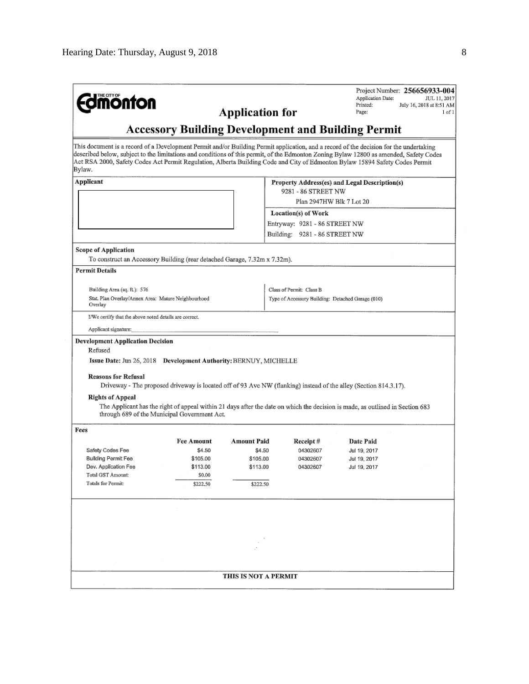| <b>dimonton</b>                                                                                                                                                                                                                                                                                                                                                                                                            |                                              | <b>Application for</b> |                                                                                                                               | Application Date:<br>Printed:<br>Page: | Project Number: 256656933-004<br>JUL 11, 2017<br>July 16, 2018 at 8:51 AM<br>1 of 1 |  |  |
|----------------------------------------------------------------------------------------------------------------------------------------------------------------------------------------------------------------------------------------------------------------------------------------------------------------------------------------------------------------------------------------------------------------------------|----------------------------------------------|------------------------|-------------------------------------------------------------------------------------------------------------------------------|----------------------------------------|-------------------------------------------------------------------------------------|--|--|
| <b>Accessory Building Development and Building Permit</b>                                                                                                                                                                                                                                                                                                                                                                  |                                              |                        |                                                                                                                               |                                        |                                                                                     |  |  |
| This document is a record of a Development Permit and/or Building Permit application, and a record of the decision for the undertaking<br>described below, subject to the limitations and conditions of this permit, of the Edmonton Zoning Bylaw 12800 as amended, Safety Codes<br>Act RSA 2000, Safety Codes Act Permit Regulation, Alberta Building Code and City of Edmonton Bylaw 15894 Safety Codes Permit<br>Bylaw. |                                              |                        |                                                                                                                               |                                        |                                                                                     |  |  |
| Applicant<br>Property Address(es) and Legal Description(s)                                                                                                                                                                                                                                                                                                                                                                 |                                              |                        |                                                                                                                               |                                        |                                                                                     |  |  |
|                                                                                                                                                                                                                                                                                                                                                                                                                            |                                              |                        | 9281 - 86 STREET NW<br>Plan 2947HW Blk 7 Lot 20                                                                               |                                        |                                                                                     |  |  |
|                                                                                                                                                                                                                                                                                                                                                                                                                            |                                              |                        |                                                                                                                               |                                        |                                                                                     |  |  |
|                                                                                                                                                                                                                                                                                                                                                                                                                            |                                              |                        | Location(s) of Work                                                                                                           |                                        |                                                                                     |  |  |
|                                                                                                                                                                                                                                                                                                                                                                                                                            |                                              |                        | Entryway: 9281 - 86 STREET NW                                                                                                 |                                        |                                                                                     |  |  |
|                                                                                                                                                                                                                                                                                                                                                                                                                            |                                              |                        | Building: 9281 - 86 STREET NW                                                                                                 |                                        |                                                                                     |  |  |
| <b>Scope of Application</b>                                                                                                                                                                                                                                                                                                                                                                                                |                                              |                        |                                                                                                                               |                                        |                                                                                     |  |  |
| To construct an Accessory Building (rear detached Garage, 7.32m x 7.32m).                                                                                                                                                                                                                                                                                                                                                  |                                              |                        |                                                                                                                               |                                        |                                                                                     |  |  |
| <b>Permit Details</b>                                                                                                                                                                                                                                                                                                                                                                                                      |                                              |                        |                                                                                                                               |                                        |                                                                                     |  |  |
| Building Area (sq. ft.): 576                                                                                                                                                                                                                                                                                                                                                                                               |                                              |                        | Class of Permit: Class B                                                                                                      |                                        |                                                                                     |  |  |
| Stat, Plan Overlay/Annex Area: Mature Neighbourhood<br>Overlay                                                                                                                                                                                                                                                                                                                                                             |                                              |                        | Type of Accessory Building: Detached Garage (010)                                                                             |                                        |                                                                                     |  |  |
| I/We certify that the above noted details are correct,                                                                                                                                                                                                                                                                                                                                                                     |                                              |                        |                                                                                                                               |                                        |                                                                                     |  |  |
| Applicant signature:                                                                                                                                                                                                                                                                                                                                                                                                       |                                              |                        |                                                                                                                               |                                        |                                                                                     |  |  |
| Issue Date: Jun 26, 2018 Development Authority: BERNUY, MICHELLE<br><b>Reasons for Refusal</b>                                                                                                                                                                                                                                                                                                                             |                                              |                        | Driveway - The proposed driveway is located off of 93 Ave NW (flanking) instead of the alley (Section 814.3.17).              |                                        |                                                                                     |  |  |
| <b>Rights of Appeal</b>                                                                                                                                                                                                                                                                                                                                                                                                    | through 689 of the Municipal Government Act. |                        | The Applicant has the right of appeal within 21 days after the date on which the decision is made, as outlined in Section 683 |                                        |                                                                                     |  |  |
| Fees                                                                                                                                                                                                                                                                                                                                                                                                                       |                                              |                        |                                                                                                                               |                                        |                                                                                     |  |  |
|                                                                                                                                                                                                                                                                                                                                                                                                                            | <b>Fee Amount</b>                            | <b>Amount Paid</b>     | Receipt#                                                                                                                      | Date Paid                              |                                                                                     |  |  |
| Safety Codes Fee                                                                                                                                                                                                                                                                                                                                                                                                           | \$4.50                                       | \$4.50                 | 04302607                                                                                                                      | Jul 19, 2017                           |                                                                                     |  |  |
| Building Permit Fee<br>Dev. Application Fee                                                                                                                                                                                                                                                                                                                                                                                | \$105.00<br>\$113.00                         | \$105.00<br>\$113.00   | 04302607<br>04302607                                                                                                          | Jul 19, 2017<br>Jul 19, 2017           |                                                                                     |  |  |
| Total GST Amount:                                                                                                                                                                                                                                                                                                                                                                                                          | \$0.00                                       |                        |                                                                                                                               |                                        |                                                                                     |  |  |
| <b>Totals for Permit:</b>                                                                                                                                                                                                                                                                                                                                                                                                  | \$222.50                                     | \$222.50               |                                                                                                                               |                                        |                                                                                     |  |  |
|                                                                                                                                                                                                                                                                                                                                                                                                                            |                                              |                        |                                                                                                                               |                                        |                                                                                     |  |  |
|                                                                                                                                                                                                                                                                                                                                                                                                                            |                                              |                        |                                                                                                                               |                                        |                                                                                     |  |  |
|                                                                                                                                                                                                                                                                                                                                                                                                                            |                                              |                        |                                                                                                                               |                                        |                                                                                     |  |  |
|                                                                                                                                                                                                                                                                                                                                                                                                                            |                                              |                        |                                                                                                                               |                                        |                                                                                     |  |  |
|                                                                                                                                                                                                                                                                                                                                                                                                                            |                                              |                        |                                                                                                                               |                                        |                                                                                     |  |  |
|                                                                                                                                                                                                                                                                                                                                                                                                                            |                                              |                        |                                                                                                                               |                                        |                                                                                     |  |  |
|                                                                                                                                                                                                                                                                                                                                                                                                                            |                                              | THIS IS NOT A PERMIT   |                                                                                                                               |                                        |                                                                                     |  |  |
|                                                                                                                                                                                                                                                                                                                                                                                                                            |                                              |                        |                                                                                                                               |                                        |                                                                                     |  |  |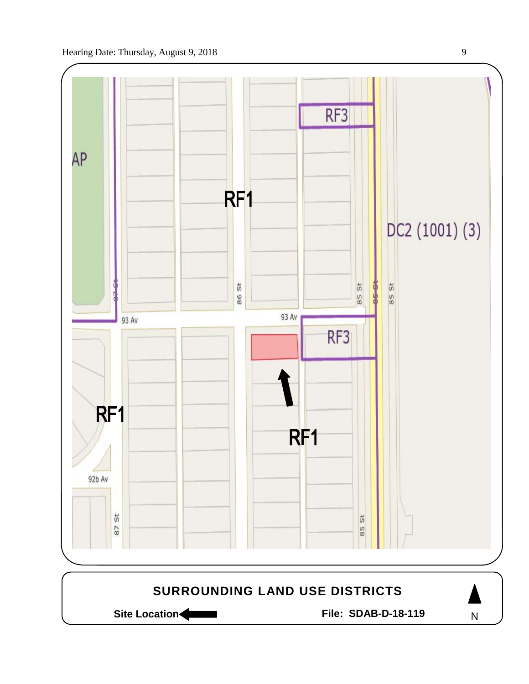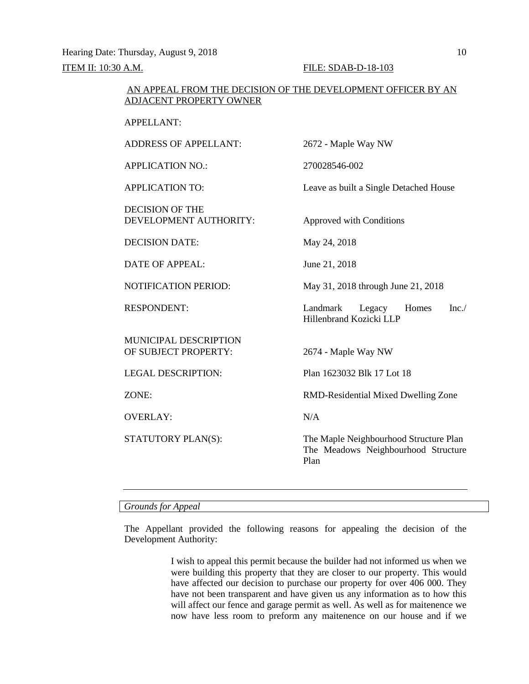Hearing Date: Thursday, August 9, 2018 10

ITEM II: 10:30 A.M. FILE: SDAB-D-18-103

### AN APPEAL FROM THE DECISION OF THE DEVELOPMENT OFFICER BY AN ADJACENT PROPERTY OWNER

APPELLANT:

ADDRESS OF APPELLANT: 2672 - Maple Way NW APPLICATION NO.: 270028546-002 APPLICATION TO: Leave as built a Single Detached House DECISION OF THE DEVELOPMENT AUTHORITY: Approved with Conditions DECISION DATE: May 24, 2018 DATE OF APPEAL: June 21, 2018 NOTIFICATION PERIOD: May 31, 2018 through June 21, 2018 RESPONDENT: Landmark Legacy Homes Inc./ Hillenbrand Kozicki LLP MUNICIPAL DESCRIPTION OF SUBJECT PROPERTY: 2674 - Maple Way NW LEGAL DESCRIPTION: Plan 1623032 Blk 17 Lot 18 ZONE: RMD-Residential Mixed Dwelling Zone OVERLAY: N/A STATUTORY PLAN(S): The Maple Neighbourhood Structure Plan The Meadows Neighbourhood Structure Plan

### *Grounds for Appeal*

The Appellant provided the following reasons for appealing the decision of the Development Authority:

> I wish to appeal this permit because the builder had not informed us when we were building this property that they are closer to our property. This would have affected our decision to purchase our property for over 406 000. They have not been transparent and have given us any information as to how this will affect our fence and garage permit as well. As well as for maitenence we now have less room to preform any maitenence on our house and if we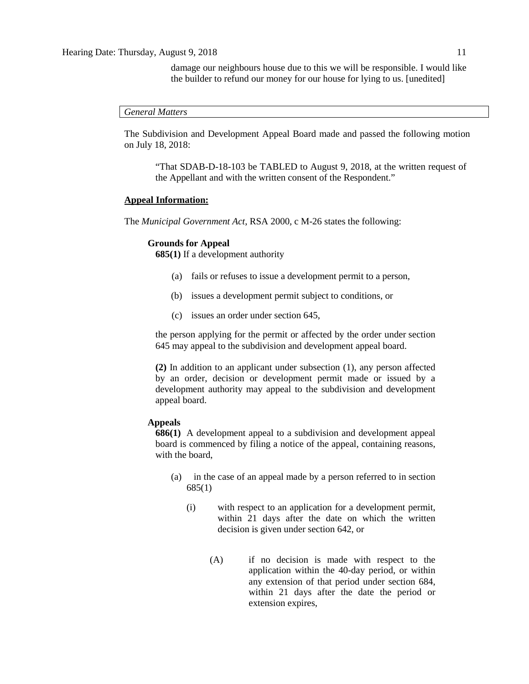damage our neighbours house due to this we will be responsible. I would like the builder to refund our money for our house for lying to us. [unedited]

*General Matters*

The Subdivision and Development Appeal Board made and passed the following motion on July 18, 2018:

"That SDAB-D-18-103 be TABLED to August 9, 2018, at the written request of the Appellant and with the written consent of the Respondent."

#### **Appeal Information:**

The *Municipal Government Act*, RSA 2000, c M-26 states the following:

#### **Grounds for Appeal**

**685(1)** If a development authority

- (a) fails or refuses to issue a development permit to a person,
- (b) issues a development permit subject to conditions, or
- (c) issues an order under section 645,

the person applying for the permit or affected by the order under section 645 may appeal to the subdivision and development appeal board.

**(2)** In addition to an applicant under subsection (1), any person affected by an order, decision or development permit made or issued by a development authority may appeal to the subdivision and development appeal board.

### **Appeals**

**686(1)** A development appeal to a subdivision and development appeal board is commenced by filing a notice of the appeal, containing reasons, with the board,

- (a) in the case of an appeal made by a person referred to in section 685(1)
	- (i) with respect to an application for a development permit, within 21 days after the date on which the written decision is given under section 642, or
		- (A) if no decision is made with respect to the application within the 40-day period, or within any extension of that period under section 684, within 21 days after the date the period or extension expires,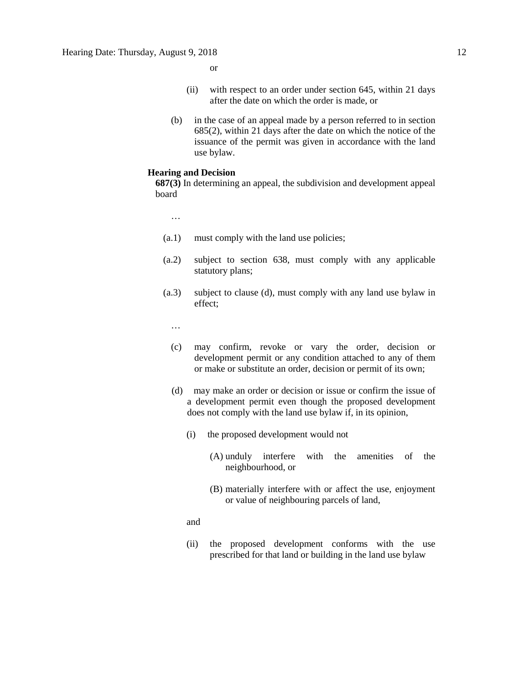or

- (ii) with respect to an order under section 645, within 21 days after the date on which the order is made, or
- (b) in the case of an appeal made by a person referred to in section 685(2), within 21 days after the date on which the notice of the issuance of the permit was given in accordance with the land use bylaw.

## **Hearing and Decision**

**687(3)** In determining an appeal, the subdivision and development appeal board

…

- (a.1) must comply with the land use policies;
- (a.2) subject to section 638, must comply with any applicable statutory plans;
- (a.3) subject to clause (d), must comply with any land use bylaw in effect;

…

- (c) may confirm, revoke or vary the order, decision or development permit or any condition attached to any of them or make or substitute an order, decision or permit of its own;
- (d) may make an order or decision or issue or confirm the issue of a development permit even though the proposed development does not comply with the land use bylaw if, in its opinion,
	- (i) the proposed development would not
		- (A) unduly interfere with the amenities of the neighbourhood, or
		- (B) materially interfere with or affect the use, enjoyment or value of neighbouring parcels of land,

and

(ii) the proposed development conforms with the use prescribed for that land or building in the land use bylaw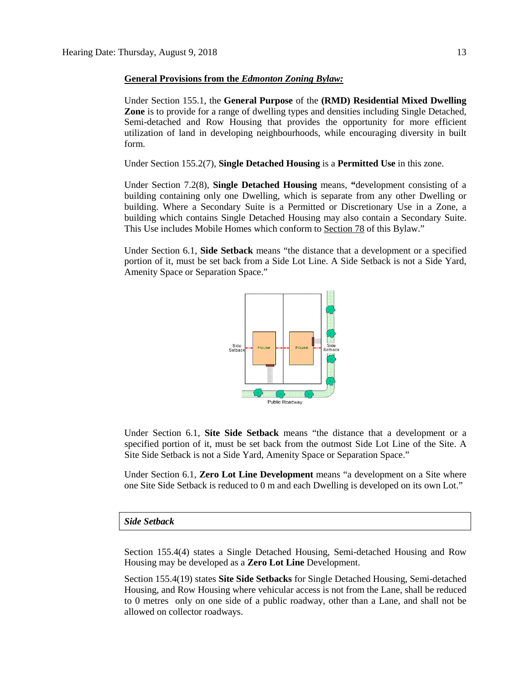#### **General Provisions from the** *Edmonton Zoning Bylaw:*

Under Section 155.1, the **General Purpose** of the **(RMD) Residential Mixed Dwelling Zone** is to provide for a range of dwelling types and densities including Single Detached, Semi-detached and Row Housing that provides the opportunity for more efficient utilization of land in developing neighbourhoods, while encouraging diversity in built form.

Under Section 155.2(7), **Single Detached Housing** is a **Permitted Use** in this zone.

Under Section 7.2(8), **Single Detached Housing** means, **"**development consisting of a building containing only one Dwelling, which is separate from any other Dwelling or building. Where a Secondary Suite is a Permitted or Discretionary Use in a Zone, a building which contains Single Detached Housing may also contain a Secondary Suite. This Use includes Mobile Homes which conform to [Section 78](https://webdocs.edmonton.ca/InfraPlan/zoningbylaw/ZoningBylaw/Part1/Special_Land/78__Mobile_Homes.htm) of this Bylaw."

Under Section 6.1, **Side Setback** means "the distance that a development or a specified portion of it, must be set back from a Side Lot Line. A Side Setback is not a Side Yard, Amenity Space or Separation Space."



Under Section 6.1, **Site Side Setback** means "the distance that a development or a specified portion of it, must be set back from the outmost Side Lot Line of the Site. A Site Side Setback is not a Side Yard, Amenity Space or Separation Space."

Under Section 6.1, **Zero Lot Line Development** means "a development on a Site where one Site Side Setback is reduced to 0 m and each Dwelling is developed on its own Lot."

#### *Side Setback*

Section 155.4(4) states a Single Detached Housing, Semi-detached Housing and Row Housing may be developed as a **Zero Lot Line** Development.

Section 155.4(19) states **Site Side Setbacks** for Single Detached Housing, Semi-detached Housing, and Row Housing where vehicular access is not from the Lane, shall be reduced to 0 metres only on one side of a public roadway, other than a Lane, and shall not be allowed on collector roadways.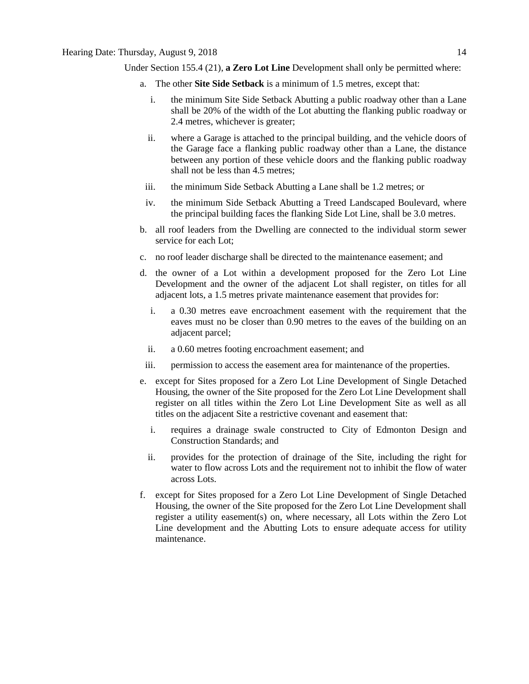## Hearing Date: Thursday, August 9, 2018 14

- a. The other **Site Side Setback** is a minimum of [1.5 me](javascript:void(0);)tres, except that:
	- i. the minimum Site Side Setback Abutting a public roadway other than a Lane shall be 20% of the width of the Lot abutting the flanking public roadway or 2.4 metres, whichever is greater;
	- ii. where a Garage is attached to the principal building, and the vehicle doors of the Garage face a flanking public roadway other than a Lane, the distance between any portion of these vehicle doors and the flanking public roadway shall not be less than [4.5 me](javascript:void(0);)tres;
	- iii. the minimum Side Setback Abutting a Lane shall be [1.2 me](javascript:void(0);)tres; or
	- iv. the minimum Side Setback Abutting a Treed Landscaped Boulevard, where the principal building faces the flanking Side Lot Line, shall be [3.0 me](javascript:void(0);)tres.
- b. all roof leaders from the Dwelling are connected to the individual storm sewer service for each Lot;
- c. no roof leader discharge shall be directed to the maintenance easement; and
- d. the owner of a Lot within a development proposed for the Zero Lot Line Development and the owner of the adjacent Lot shall register, on titles for all adjacent lots, a 1.5 metres private maintenance easement that provides for:
	- i. a [0.30 me](javascript:void(0);)tres eave encroachment easement with the requirement that the eaves must no be closer than [0.90 me](javascript:void(0);)tres to the eaves of the building on an adjacent parcel;
	- ii. a [0.60 me](javascript:void(0);)tres footing encroachment easement; and
- iii. permission to access the easement area for maintenance of the properties.
- e. except for Sites proposed for a Zero Lot Line Development of Single Detached Housing, the owner of the Site proposed for the Zero Lot Line Development shall register on all titles within the Zero Lot Line Development Site as well as all titles on the adjacent Site a restrictive covenant and easement that:
	- i. requires a drainage swale constructed to City of Edmonton Design and Construction Standards; and
	- ii. provides for the protection of drainage of the Site, including the right for water to flow across Lots and the requirement not to inhibit the flow of water across Lots.
- f. except for Sites proposed for a Zero Lot Line Development of Single Detached Housing, the owner of the Site proposed for the Zero Lot Line Development shall register a utility easement(s) on, where necessary, all Lots within the Zero Lot Line development and the Abutting Lots to ensure adequate access for utility maintenance.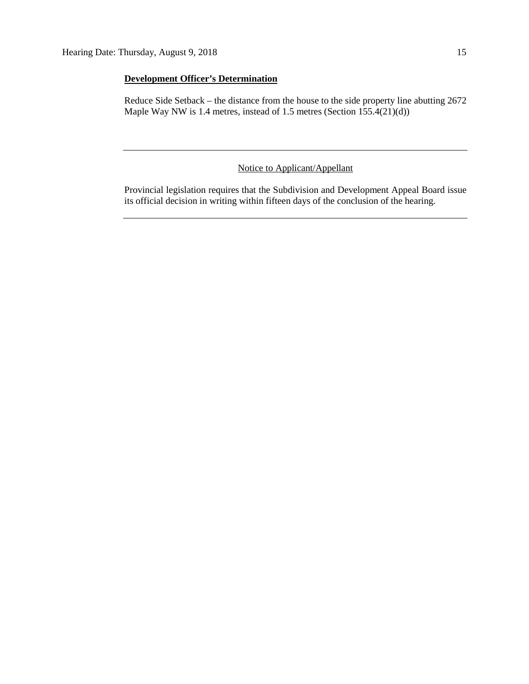## **Development Officer's Determination**

Reduce Side Setback – the distance from the house to the side property line abutting 2672 Maple Way NW is 1.4 metres, instead of 1.5 metres (Section 155.4(21)(d))

## Notice to Applicant/Appellant

Provincial legislation requires that the Subdivision and Development Appeal Board issue its official decision in writing within fifteen days of the conclusion of the hearing.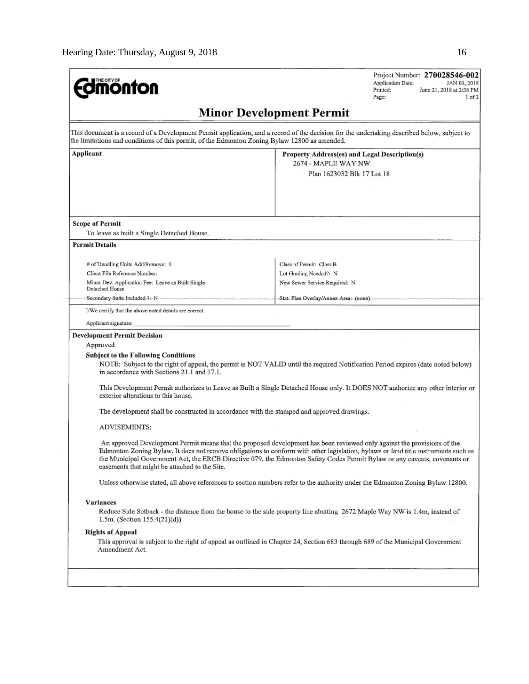| <b>monton</b>                                                                                                                                                                                                                                                                                                                                                                                                                                                                                                                                                                                                                                                                                                                                                                                                                                                                                                                                                                                                                                                                                                                                                                                                                                                                                                                                                                                                                                                                                                     | Project Number: 270028546-002<br>Application Date:<br>JAN 03, 2018<br>Printed:<br>June 21, 2018 at 2:38 PM<br>Page:<br>$1$ of $2$                                                                                                            |  |  |  |  |  |
|-------------------------------------------------------------------------------------------------------------------------------------------------------------------------------------------------------------------------------------------------------------------------------------------------------------------------------------------------------------------------------------------------------------------------------------------------------------------------------------------------------------------------------------------------------------------------------------------------------------------------------------------------------------------------------------------------------------------------------------------------------------------------------------------------------------------------------------------------------------------------------------------------------------------------------------------------------------------------------------------------------------------------------------------------------------------------------------------------------------------------------------------------------------------------------------------------------------------------------------------------------------------------------------------------------------------------------------------------------------------------------------------------------------------------------------------------------------------------------------------------------------------|----------------------------------------------------------------------------------------------------------------------------------------------------------------------------------------------------------------------------------------------|--|--|--|--|--|
| <b>Minor Development Permit</b>                                                                                                                                                                                                                                                                                                                                                                                                                                                                                                                                                                                                                                                                                                                                                                                                                                                                                                                                                                                                                                                                                                                                                                                                                                                                                                                                                                                                                                                                                   |                                                                                                                                                                                                                                              |  |  |  |  |  |
|                                                                                                                                                                                                                                                                                                                                                                                                                                                                                                                                                                                                                                                                                                                                                                                                                                                                                                                                                                                                                                                                                                                                                                                                                                                                                                                                                                                                                                                                                                                   | This document is a record of a Development Permit application, and a record of the decision for the undertaking described below, subject to<br>the limitations and conditions of this permit, of the Edmonton Zoning Bylaw 12800 as amended. |  |  |  |  |  |
| Applicant                                                                                                                                                                                                                                                                                                                                                                                                                                                                                                                                                                                                                                                                                                                                                                                                                                                                                                                                                                                                                                                                                                                                                                                                                                                                                                                                                                                                                                                                                                         | Property Address(es) and Legal Description(s)<br>2674 - MAPLE WAY NW<br>Plan 1623032 Blk 17 Lot 18                                                                                                                                           |  |  |  |  |  |
| <b>Scope of Permit</b><br>To leave as built a Single Detached House.<br><b>Permit Details</b>                                                                                                                                                                                                                                                                                                                                                                                                                                                                                                                                                                                                                                                                                                                                                                                                                                                                                                                                                                                                                                                                                                                                                                                                                                                                                                                                                                                                                     |                                                                                                                                                                                                                                              |  |  |  |  |  |
| # of Dwelling Units Add/Remove: 0<br>Client File Reference Number:<br>Minor Dev. Application Fee: Leave as Built Single<br>Detached House                                                                                                                                                                                                                                                                                                                                                                                                                                                                                                                                                                                                                                                                                                                                                                                                                                                                                                                                                                                                                                                                                                                                                                                                                                                                                                                                                                         | Class of Permit: Class B<br>Lot Grading Needed?: N<br>New Sewer Service Required: N                                                                                                                                                          |  |  |  |  |  |
| Secondary-Suite Included ?: N<br>I/We certify that the above noted details are correct.                                                                                                                                                                                                                                                                                                                                                                                                                                                                                                                                                                                                                                                                                                                                                                                                                                                                                                                                                                                                                                                                                                                                                                                                                                                                                                                                                                                                                           | Stat, Plan Overlay/Annex Area: (none)                                                                                                                                                                                                        |  |  |  |  |  |
| Applicant signature:                                                                                                                                                                                                                                                                                                                                                                                                                                                                                                                                                                                                                                                                                                                                                                                                                                                                                                                                                                                                                                                                                                                                                                                                                                                                                                                                                                                                                                                                                              |                                                                                                                                                                                                                                              |  |  |  |  |  |
| <b>Development Permit Decision</b><br>Approved<br><b>Subject to the Following Conditions</b><br>NOTE: Subject to the right of appeal, the permit is NOT VALID until the required Notification Period expires (date noted below)<br>in accordance with Sections 21.1 and 17.1.<br>This Development Permit authorizes to Leave as Built a Single Detached House only. It DOES NOT authorize any other interior or<br>exterior alterations to this house.<br>The development shall be constructed in accordance with the stamped and approved drawings.<br>ADVISEMENTS:<br>An approved Development Permit means that the proposed development has been reviewed only against the provisions of the<br>Edmonton Zoning Bylaw. It does not remove obligations to conform with other legislation, bylaws or land title instruments such as<br>the Municipal Government Act, the ERCB Directive 079, the Edmonton Safety Codes Permit Bylaw or any caveats, covenants or<br>easements that might be attached to the Site.<br>Unless otherwise stated, all above references to section numbers refer to the authority under the Edmonton Zoning Bylaw 12800.<br>Variances<br>Reduce Side Setback - the distance from the house to the side property line abutting 2672 Maple Way NW is 1.4m, instead of<br>1.5m. (Section $155.4(21)(d)$ )<br><b>Rights of Appeal</b><br>This approval is subject to the right of appeal as outlined in Chapter 24, Section 683 through 689 of the Municipal Government<br>Amendment Act. |                                                                                                                                                                                                                                              |  |  |  |  |  |
|                                                                                                                                                                                                                                                                                                                                                                                                                                                                                                                                                                                                                                                                                                                                                                                                                                                                                                                                                                                                                                                                                                                                                                                                                                                                                                                                                                                                                                                                                                                   |                                                                                                                                                                                                                                              |  |  |  |  |  |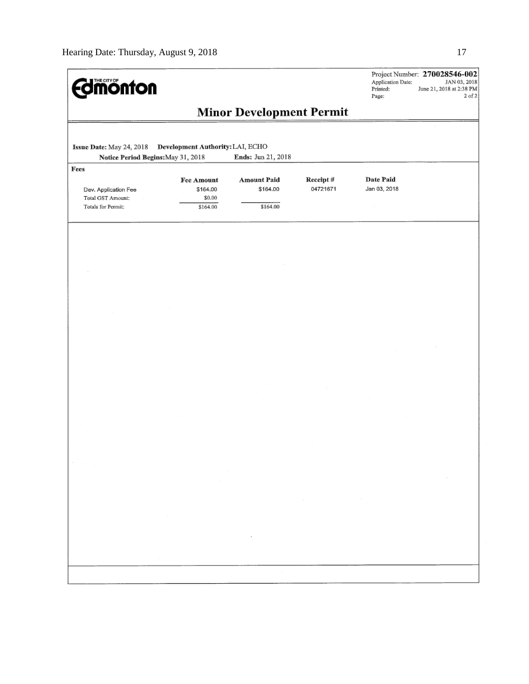| <b><i><u><u>monton</u></u></i></b>                              |                                                                                            |                                                             |                      | Application Date:<br>Printed:<br>Page:                                                                                                                                                                                               | Project Number: 270028546-002<br>JAN 03, 2018<br>June 21, 2018 at 2:38 PM<br>$2$ of $2$ |
|-----------------------------------------------------------------|--------------------------------------------------------------------------------------------|-------------------------------------------------------------|----------------------|--------------------------------------------------------------------------------------------------------------------------------------------------------------------------------------------------------------------------------------|-----------------------------------------------------------------------------------------|
|                                                                 |                                                                                            | <b>Minor Development Permit</b>                             |                      |                                                                                                                                                                                                                                      |                                                                                         |
| Issue Date: May 24, 2018<br>Notice Period Begins: May 31, 2018  | Development Authority: LAI, ECHO                                                           | Ends: Jun 21, 2018                                          |                      |                                                                                                                                                                                                                                      |                                                                                         |
| Fees                                                            |                                                                                            |                                                             |                      |                                                                                                                                                                                                                                      |                                                                                         |
| Dev. Application Fee<br>Total GST Amount:<br>Totals for Permit: | Fee Amount<br>\$164.00<br>\$0.00<br>\$164.00                                               | <b>Amount Paid</b><br>\$164.00<br>\$164.00                  | Receipt#<br>04721671 | Date Paid<br>Jan 03, 2018                                                                                                                                                                                                            |                                                                                         |
|                                                                 |                                                                                            |                                                             |                      |                                                                                                                                                                                                                                      |                                                                                         |
|                                                                 |                                                                                            |                                                             |                      |                                                                                                                                                                                                                                      |                                                                                         |
|                                                                 |                                                                                            |                                                             |                      |                                                                                                                                                                                                                                      |                                                                                         |
|                                                                 |                                                                                            |                                                             |                      |                                                                                                                                                                                                                                      |                                                                                         |
|                                                                 |                                                                                            |                                                             |                      |                                                                                                                                                                                                                                      |                                                                                         |
|                                                                 |                                                                                            |                                                             |                      |                                                                                                                                                                                                                                      |                                                                                         |
|                                                                 |                                                                                            |                                                             |                      |                                                                                                                                                                                                                                      |                                                                                         |
|                                                                 |                                                                                            |                                                             |                      |                                                                                                                                                                                                                                      |                                                                                         |
|                                                                 |                                                                                            |                                                             |                      |                                                                                                                                                                                                                                      |                                                                                         |
|                                                                 |                                                                                            |                                                             |                      |                                                                                                                                                                                                                                      |                                                                                         |
|                                                                 |                                                                                            |                                                             |                      |                                                                                                                                                                                                                                      |                                                                                         |
|                                                                 |                                                                                            |                                                             |                      |                                                                                                                                                                                                                                      |                                                                                         |
|                                                                 |                                                                                            |                                                             |                      |                                                                                                                                                                                                                                      |                                                                                         |
|                                                                 | $\sim$<br>$\alpha=0.01$<br>$\sim 10^{11}$ km s $^{-1}$                                     |                                                             |                      | $\label{eq:2.1} \mathcal{L}^{\mathcal{A}}_{\mathcal{A}}(\mathcal{A})=\mathcal{L}^{\mathcal{A}}_{\mathcal{A}}(\mathcal{A})=\mathcal{L}^{\mathcal{A}}_{\mathcal{A}}(\mathcal{A})\mathcal{A}^{\mathcal{A}}_{\mathcal{A}}(\mathcal{A}).$ | $\sim$                                                                                  |
|                                                                 |                                                                                            | $\mathcal{L}(\mathcal{L})$ and $\mathcal{L}(\mathcal{L})$ . |                      | $\label{eq:2.1} \mathcal{L}(\mathcal{L}) = \mathcal{L}(\mathcal{L}) \mathcal{L}(\mathcal{L}) = \mathcal{L}(\mathcal{L})$                                                                                                             |                                                                                         |
|                                                                 | $\mathcal{L}(\mathcal{L})$ and $\mathcal{L}(\mathcal{L})$ . The $\mathcal{L}(\mathcal{L})$ | and the state                                               |                      |                                                                                                                                                                                                                                      |                                                                                         |
|                                                                 |                                                                                            | the contract of the con-                                    |                      |                                                                                                                                                                                                                                      |                                                                                         |
|                                                                 |                                                                                            |                                                             |                      |                                                                                                                                                                                                                                      |                                                                                         |
|                                                                 |                                                                                            | $\sim$                                                      |                      |                                                                                                                                                                                                                                      |                                                                                         |